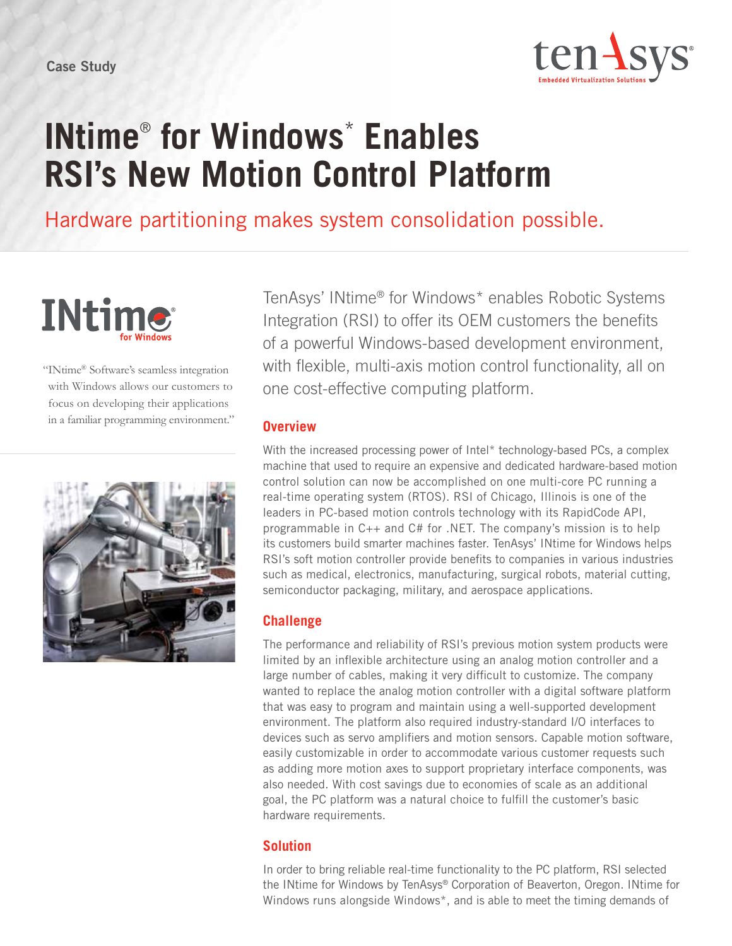

# **INtime**®  **for Windows**\*  **Enables RSI's New Motion Control Platform**

Hardware partitioning makes system consolidation possible.



"INtime® Software's seamless integration with Windows allows our customers to focus on developing their applications in a familiar programming environment."



TenAsys' INtime® for Windows\* enables Robotic Systems Integration (RSI) to offer its OEM customers the benefits of a powerful Windows-based development environment, with flexible, multi-axis motion control functionality, all on one cost-effective computing platform.

#### **Overview**

With the increased processing power of Intel\* technology-based PCs, a complex machine that used to require an expensive and dedicated hardware-based motion control solution can now be accomplished on one multi-core PC running a real-time operating system (RTOS). RSI of Chicago, Illinois is one of the leaders in PC-based motion controls technology with its RapidCode API, programmable in C++ and C# for .NET. The company's mission is to help its customers build smarter machines faster. TenAsys' INtime for Windows helps RSI's soft motion controller provide benefits to companies in various industries such as medical, electronics, manufacturing, surgical robots, material cutting, semiconductor packaging, military, and aerospace applications.

## **Challenge**

The performance and reliability of RSI's previous motion system products were limited by an inflexible architecture using an analog motion controller and a large number of cables, making it very difficult to customize. The company wanted to replace the analog motion controller with a digital software platform that was easy to program and maintain using a well-supported development environment. The platform also required industry-standard I/O interfaces to devices such as servo amplifiers and motion sensors. Capable motion software, easily customizable in order to accommodate various customer requests such as adding more motion axes to support proprietary interface components, was also needed. With cost savings due to economies of scale as an additional goal, the PC platform was a natural choice to fulfill the customer's basic hardware requirements.

## **Solution**

In order to bring reliable real-time functionality to the PC platform, RSI selected the INtime for Windows by TenAsys® Corporation of Beaverton, Oregon. INtime for Windows runs alongside Windows\*, and is able to meet the timing demands of